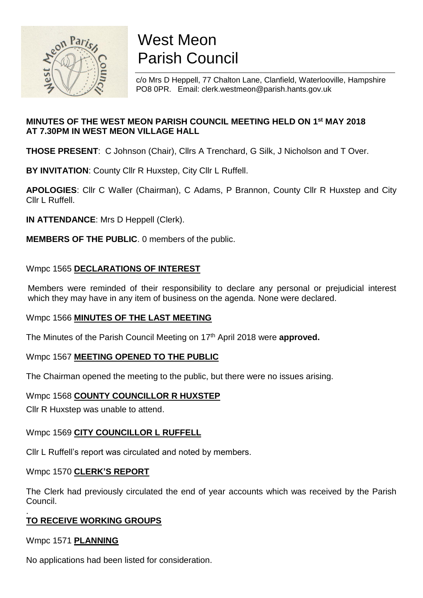

# West Meon Parish Council

c/o Mrs D Heppell, 77 Chalton Lane, Clanfield, Waterlooville, Hampshire PO8 0PR. Email: clerk.westmeon@parish.hants.gov.uk

# **MINUTES OF THE WEST MEON PARISH COUNCIL MEETING HELD ON 1 st MAY 2018 AT 7.30PM IN WEST MEON VILLAGE HALL**

**THOSE PRESENT**: C Johnson (Chair), Cllrs A Trenchard, G Silk, J Nicholson and T Over.

**BY INVITATION**: County Cllr R Huxstep, City Cllr L Ruffell.

**APOLOGIES**: Cllr C Waller (Chairman), C Adams, P Brannon, County Cllr R Huxstep and City Cllr L Ruffell.

**IN ATTENDANCE**: Mrs D Heppell (Clerk).

**MEMBERS OF THE PUBLIC**. 0 members of the public.

# Wmpc 1565 **DECLARATIONS OF INTEREST**

Members were reminded of their responsibility to declare any personal or prejudicial interest which they may have in any item of business on the agenda. None were declared.

# Wmpc 1566 **MINUTES OF THE LAST MEETING**

The Minutes of the Parish Council Meeting on 17th April 2018 were **approved.**

# Wmpc 1567 **MEETING OPENED TO THE PUBLIC**

The Chairman opened the meeting to the public, but there were no issues arising.

## Wmpc 1568 **COUNTY COUNCILLOR R HUXSTEP**

Cllr R Huxstep was unable to attend.

# Wmpc 1569 **CITY COUNCILLOR L RUFFELL**

Cllr L Ruffell's report was circulated and noted by members.

## Wmpc 1570 **CLERK'S REPORT**

The Clerk had previously circulated the end of year accounts which was received by the Parish Council.

#### . **TO RECEIVE WORKING GROUPS**

Wmpc 1571 **PLANNING**

No applications had been listed for consideration.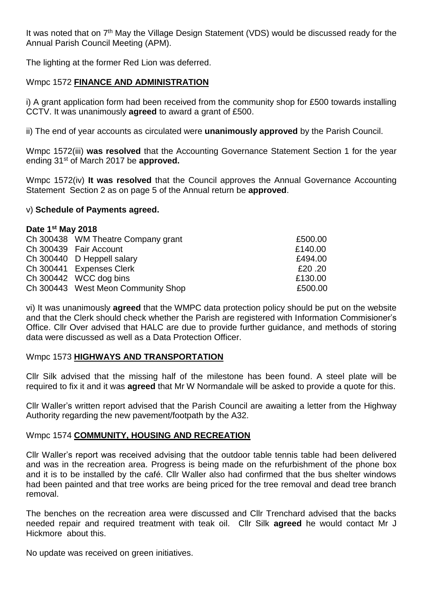It was noted that on 7<sup>th</sup> May the Village Design Statement (VDS) would be discussed ready for the Annual Parish Council Meeting (APM).

The lighting at the former Red Lion was deferred.

## Wmpc 1572 **FINANCE AND ADMINISTRATION**

i) A grant application form had been received from the community shop for £500 towards installing CCTV. It was unanimously **agreed** to award a grant of £500.

ii) The end of year accounts as circulated were **unanimously approved** by the Parish Council.

Wmpc 1572(iii) **was resolved** that the Accounting Governance Statement Section 1 for the year ending 31st of March 2017 be **approved.**

Wmpc 1572(iv) **It was resolved** that the Council approves the Annual Governance Accounting Statement Section 2 as on page 5 of the Annual return be **approved**.

## v) **Schedule of Payments agreed.**

| Date 1 <sup>st</sup> May 2018 |                                    |         |
|-------------------------------|------------------------------------|---------|
|                               | Ch 300438 WM Theatre Company grant | £500.00 |
|                               | Ch 300439 Fair Account             | £140.00 |
|                               | Ch 300440 D Heppell salary         | £494.00 |
|                               | Ch 300441 Expenses Clerk           | £20,20  |
|                               | Ch 300442 WCC dog bins             | £130.00 |
|                               | Ch 300443 West Meon Community Shop | £500.00 |

vi) It was unanimously **agreed** that the WMPC data protection policy should be put on the website and that the Clerk should check whether the Parish are registered with Information Commisioner's Office. Cllr Over advised that HALC are due to provide further guidance, and methods of storing data were discussed as well as a Data Protection Officer.

## Wmpc 1573 **HIGHWAYS AND TRANSPORTATION**

Cllr Silk advised that the missing half of the milestone has been found. A steel plate will be required to fix it and it was **agreed** that Mr W Normandale will be asked to provide a quote for this.

Cllr Waller's written report advised that the Parish Council are awaiting a letter from the Highway Authority regarding the new pavement/footpath by the A32.

## Wmpc 1574 **COMMUNITY, HOUSING AND RECREATION**

Cllr Waller's report was received advising that the outdoor table tennis table had been delivered and was in the recreation area. Progress is being made on the refurbishment of the phone box and it is to be installed by the café. Cllr Waller also had confirmed that the bus shelter windows had been painted and that tree works are being priced for the tree removal and dead tree branch removal.

The benches on the recreation area were discussed and Cllr Trenchard advised that the backs needed repair and required treatment with teak oil. Cllr Silk **agreed** he would contact Mr J Hickmore about this.

No update was received on green initiatives.